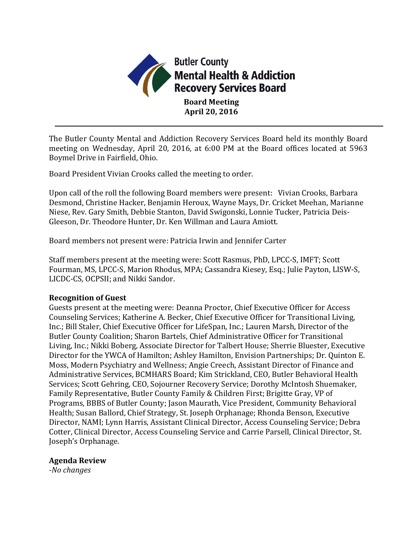

The Butler County Mental and Addiction Recovery Services Board held its monthly Board meeting on Wednesday, April 20, 2016, at 6:00 PM at the Board offices located at 5963 Boymel Drive in Fairfield, Ohio.

Board President Vivian Crooks called the meeting to order.

Upon call of the roll the following Board members were present: Vivian Crooks, Barbara Desmond, Christine Hacker, Benjamin Heroux, Wayne Mays, Dr. Cricket Meehan, Marianne Niese, Rev. Gary Smith, Debbie Stanton, David Swigonski, Lonnie Tucker, Patricia Deis-Gleeson, Dr. Theodore Hunter, Dr. Ken Willman and Laura Amiott.

Board members not present were: Patricia Irwin and Jennifer Carter

Staff members present at the meeting were: Scott Rasmus, PhD, LPCC-S, IMFT; Scott Fourman, MS, LPCC-S, Marion Rhodus, MPA; Cassandra Kiesey, Esq.; Julie Payton, LISW-S, LICDC-CS, OCPSII; and Nikki Sandor.

#### **Recognition of Guest**

Guests present at the meeting were: Deanna Proctor, Chief Executive Officer for Access Counseling Services; Katherine A. Becker, Chief Executive Officer for Transitional Living, Inc.; Bill Staler, Chief Executive Officer for LifeSpan, Inc.; Lauren Marsh, Director of the Butler County Coalition; Sharon Bartels, Chief Administrative Officer for Transitional Living, Inc.; Nikki Boberg, Associate Director for Talbert House; Sherrie Bluester, Executive Director for the YWCA of Hamilton; Ashley Hamilton, Envision Partnerships; Dr. Quinton E. Moss, Modern Psychiatry and Wellness; Angie Creech, Assistant Director of Finance and Administrative Services, BCMHARS Board; Kim Strickland, CEO, Butler Behavioral Health Services; Scott Gehring, CEO, Sojourner Recovery Service; Dorothy McIntosh Shuemaker, Family Representative, Butler County Family & Children First; Brigitte Gray, VP of Programs, BBBS of Butler County; Jason Maurath, Vice President, Community Behavioral Health; Susan Ballord, Chief Strategy, St. Joseph Orphanage; Rhonda Benson, Executive Director, NAMI; Lynn Harris, Assistant Clinical Director, Access Counseling Service; Debra Cotter, Clinical Director, Access Counseling Service and Carrie Parsell, Clinical Director, St. Joseph's Orphanage.

#### **Agenda Review**

*-No changes*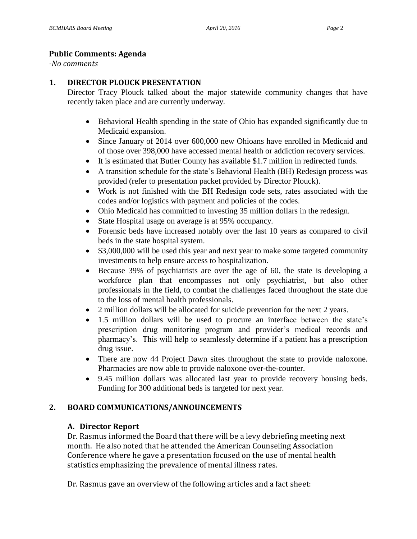#### **Public Comments: Agenda**

*-No comments*

#### **1. DIRECTOR PLOUCK PRESENTATION**

Director Tracy Plouck talked about the major statewide community changes that have recently taken place and are currently underway.

- Behavioral Health spending in the state of Ohio has expanded significantly due to Medicaid expansion.
- Since January of 2014 over 600,000 new Ohioans have enrolled in Medicaid and of those over 398,000 have accessed mental health or addiction recovery services.
- It is estimated that Butler County has available \$1.7 million in redirected funds.
- A transition schedule for the state's Behavioral Health (BH) Redesign process was provided (refer to presentation packet provided by Director Plouck).
- Work is not finished with the BH Redesign code sets, rates associated with the codes and/or logistics with payment and policies of the codes.
- Ohio Medicaid has committed to investing 35 million dollars in the redesign.
- State Hospital usage on average is at 95% occupancy.
- Forensic beds have increased notably over the last 10 years as compared to civil beds in the state hospital system.
- \$3,000,000 will be used this year and next year to make some targeted community investments to help ensure access to hospitalization.
- Because 39% of psychiatrists are over the age of 60, the state is developing a workforce plan that encompasses not only psychiatrist, but also other professionals in the field, to combat the challenges faced throughout the state due to the loss of mental health professionals.
- 2 million dollars will be allocated for suicide prevention for the next 2 years.
- 1.5 million dollars will be used to procure an interface between the state's prescription drug monitoring program and provider's medical records and pharmacy's. This will help to seamlessly determine if a patient has a prescription drug issue.
- There are now 44 Project Dawn sites throughout the state to provide naloxone. Pharmacies are now able to provide naloxone over-the-counter.
- 9.45 million dollars was allocated last year to provide recovery housing beds. Funding for 300 additional beds is targeted for next year.

# **2. BOARD COMMUNICATIONS/ANNOUNCEMENTS**

#### **A. Director Report**

Dr. Rasmus informed the Board that there will be a levy debriefing meeting next month. He also noted that he attended the American Counseling Association Conference where he gave a presentation focused on the use of mental health statistics emphasizing the prevalence of mental illness rates.

Dr. Rasmus gave an overview of the following articles and a fact sheet: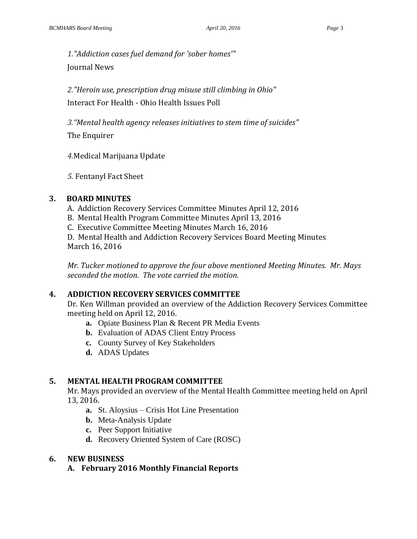*1."Addiction cases fuel demand for 'sober homes'"* Journal News

*2."Heroin use, prescription drug misuse still climbing in Ohio"* Interact For Health - Ohio Health Issues Poll

*3."Mental health agency releases initiatives to stem time of suicides"*

The Enquirer

*4.*Medical Marijuana Update

*5.* Fentanyl Fact Sheet

#### **3. BOARD MINUTES**

- A. Addiction Recovery Services Committee Minutes April 12, 2016
- B. Mental Health Program Committee Minutes April 13, 2016
- C. Executive Committee Meeting Minutes March 16, 2016

D. Mental Health and Addiction Recovery Services Board Meeting Minutes March 16, 2016

*Mr. Tucker motioned to approve the four above mentioned Meeting Minutes. Mr. Mays seconded the motion. The vote carried the motion.*

# **4. ADDICTION RECOVERY SERVICES COMMITTEE**

Dr. Ken Willman provided an overview of the Addiction Recovery Services Committee meeting held on April 12, 2016.

- **a.** Opiate Business Plan & Recent PR Media Events
- **b.** Evaluation of ADAS Client Entry Process
- **c.** County Survey of Key Stakeholders
- **d.** ADAS Updates

# **5. MENTAL HEALTH PROGRAM COMMITTEE**

Mr. Mays provided an overview of the Mental Health Committee meeting held on April 13, 2016.

- **a.** St. Aloysius Crisis Hot Line Presentation
- **b.** Meta-Analysis Update
- **c.** Peer Support Initiative
- **d.** Recovery Oriented System of Care (ROSC)

# **6. NEW BUSINESS**

**A. February 2016 Monthly Financial Reports**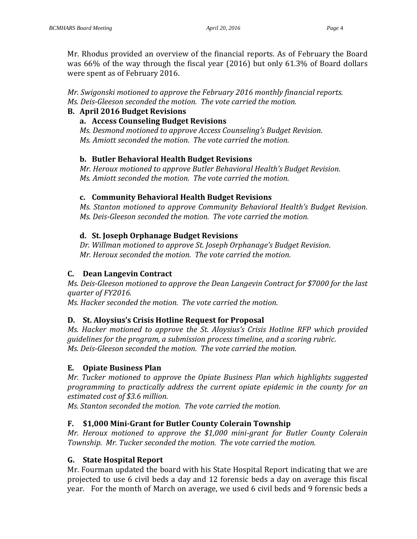Mr. Rhodus provided an overview of the financial reports. As of February the Board was 66% of the way through the fiscal year (2016) but only 61.3% of Board dollars were spent as of February 2016.

*Mr. Swigonski motioned to approve the February 2016 monthly financial reports. Ms. Deis-Gleeson seconded the motion. The vote carried the motion.*

### **B. April 2016 Budget Revisions**

#### **a. Access Counseling Budget Revisions**

*Ms. Desmond motioned to approve Access Counseling's Budget Revision. Ms. Amiott seconded the motion. The vote carried the motion.*

# **b. Butler Behavioral Health Budget Revisions**

*Mr. Heroux motioned to approve Butler Behavioral Health's Budget Revision. Ms. Amiott seconded the motion. The vote carried the motion.*

#### **c. Community Behavioral Health Budget Revisions**

*Ms. Stanton motioned to approve Community Behavioral Health's Budget Revision. Ms. Deis-Gleeson seconded the motion. The vote carried the motion.*

#### **d. St. Joseph Orphanage Budget Revisions**

*Dr. Willman motioned to approve St. Joseph Orphanage's Budget Revision. Mr. Heroux seconded the motion. The vote carried the motion.*

# **C. Dean Langevin Contract**

*Ms. Deis-Gleeson motioned to approve the Dean Langevin Contract for \$7000 for the last quarter of FY2016.* 

*Ms. Hacker seconded the motion. The vote carried the motion.*

# **D. St. Aloysius's Crisis Hotline Request for Proposal**

*Ms. Hacker motioned to approve the St. Aloysius's Crisis Hotline RFP which provided guidelines for the program, a submission process timeline, and a scoring rubric. Ms. Deis-Gleeson seconded the motion. The vote carried the motion.*

#### **E. Opiate Business Plan**

*Mr. Tucker motioned to approve the Opiate Business Plan which highlights suggested programming to practically address the current opiate epidemic in the county for an estimated cost of \$3.6 million.* 

*Ms. Stanton seconded the motion. The vote carried the motion.*

# **F. \$1,000 Mini-Grant for Butler County Colerain Township**

*Mr. Heroux motioned to approve the \$1,000 mini-grant for Butler County Colerain Township. Mr. Tucker seconded the motion. The vote carried the motion.*

# **G. State Hospital Report**

Mr. Fourman updated the board with his State Hospital Report indicating that we are projected to use 6 civil beds a day and 12 forensic beds a day on average this fiscal year. For the month of March on average, we used 6 civil beds and 9 forensic beds a